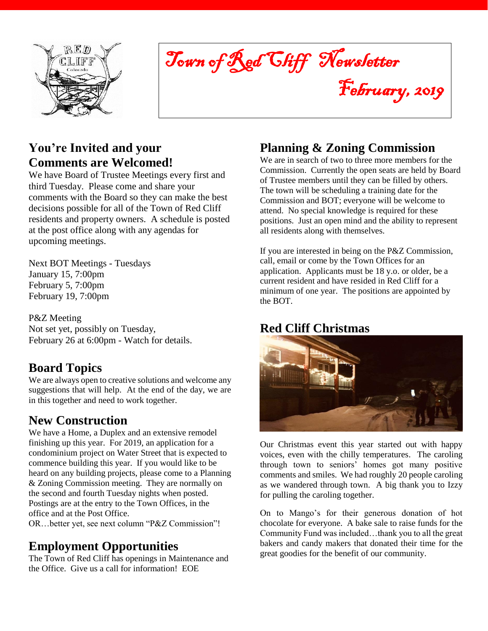

Town of Red Cliff Newsletter February, 2019

**You're Invited and your Comments are Welcomed!**

We have Board of Trustee Meetings every first and third Tuesday. Please come and share your comments with the Board so they can make the best decisions possible for all of the Town of Red Cliff residents and property owners. A schedule is posted at the post office along with any agendas for upcoming meetings.

Next BOT Meetings - Tuesdays January 15, 7:00pm February 5, 7:00pm February 19, 7:00pm

P&Z Meeting Not set yet, possibly on Tuesday, February 26 at 6:00pm - Watch for details.

## **Board Topics**

We are always open to creative solutions and welcome any suggestions that will help. At the end of the day, we are in this together and need to work together.

## **New Construction**

We have a Home, a Duplex and an extensive remodel finishing up this year. For 2019, an application for a condominium project on Water Street that is expected to commence building this year. If you would like to be heard on any building projects, please come to a Planning & Zoning Commission meeting. They are normally on the second and fourth Tuesday nights when posted. Postings are at the entry to the Town Offices, in the office and at the Post Office.

OR…better yet, see next column "P&Z Commission"!

## **Employment Opportunities**

The Town of Red Cliff has openings in Maintenance and the Office. Give us a call for information! EOE

# **Planning & Zoning Commission**

We are in search of two to three more members for the Commission. Currently the open seats are held by Board of Trustee members until they can be filled by others. The town will be scheduling a training date for the Commission and BOT; everyone will be welcome to attend. No special knowledge is required for these positions. Just an open mind and the ability to represent all residents along with themselves.

If you are interested in being on the P&Z Commission, call, email or come by the Town Offices for an application. Applicants must be 18 y.o. or older, be a current resident and have resided in Red Cliff for a minimum of one year. The positions are appointed by the BOT.

## **Red Cliff Christmas**



Our Christmas event this year started out with happy voices, even with the chilly temperatures. The caroling through town to seniors' homes got many positive comments and smiles. We had roughly 20 people caroling as we wandered through town. A big thank you to Izzy for pulling the caroling together.

On to Mango's for their generous donation of hot chocolate for everyone. A bake sale to raise funds for the Community Fund was included…thank you to all the great bakers and candy makers that donated their time for the great goodies for the benefit of our community.